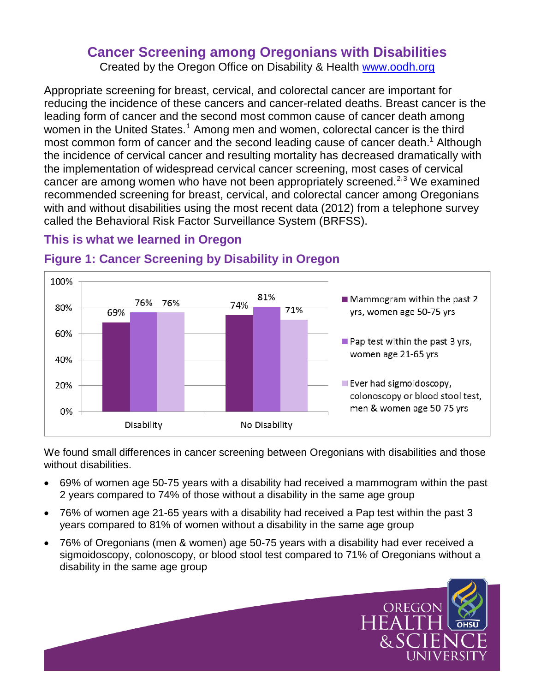# **Cancer Screening among Oregonians with Disabilities**

<span id="page-0-0"></span>Created by the Oregon Office on Disability & Health www.oodh.org

Appropriate screening for breast, cervical, and colorectal cancer are important for reducing the incidence of these cancers and cancer-related deaths. Breast cancer is the leading form of cancer and the second most common cause of cancer death among women in the United States.<sup>[1](#page-1-0)</sup> Among men and women, colorectal cancer is the third most common form of cancer and the second leading cause of cancer death.<sup>1</sup> Although the incidence of cervical cancer and resulting mortality has decreased dramatically with the implementation of widespread cervical cancer screening, most cases of cervical cancer are among women who have not been appropriately screened.<sup>[2,](#page-1-1)[3](#page-1-2)</sup> We examined recommended screening for breast, cervical, and colorectal cancer among Oregonians with and without disabilities using the most recent data (2012) from a telephone survey called the Behavioral Risk Factor Surveillance System (BRFSS).

## **This is what we learned in Oregon**



# **Figure 1: Cancer Screening by Disability in Oregon**

We found small differences in cancer screening between Oregonians with disabilities and those without disabilities.

- 69% of women age 50-75 years with a disability had received a mammogram within the past 2 years compared to 74% of those without a disability in the same age group
- 76% of women age 21-65 years with a disability had received a Pap test within the past 3 years compared to 81% of women without a disability in the same age group
- 76% of Oregonians (men & women) age 50-75 years with a disability had ever received a sigmoidoscopy, colonoscopy, or blood stool test compared to 71% of Oregonians without a disability in the same age group